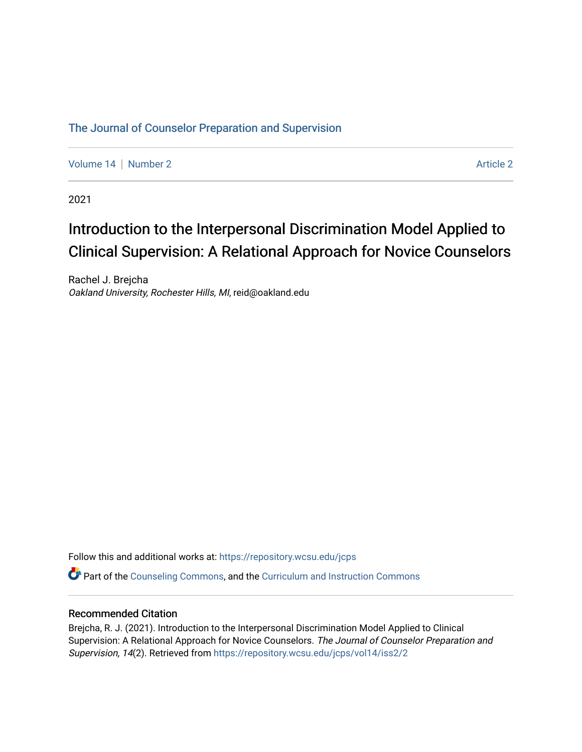# [The Journal of Counselor Preparation and Supervision](https://repository.wcsu.edu/jcps)

[Volume 14](https://repository.wcsu.edu/jcps/vol14) | [Number 2](https://repository.wcsu.edu/jcps/vol14/iss2) [Article 2](https://repository.wcsu.edu/jcps/vol14/iss2/2) Article 2 Article 2 Article 2 Article 2 Article 2 Article 2 Article 2 Article 2

2021

# Introduction to the Interpersonal Discrimination Model Applied to Clinical Supervision: A Relational Approach for Novice Counselors

Rachel J. Brejcha Oakland University, Rochester Hills, MI, reid@oakland.edu

Follow this and additional works at: [https://repository.wcsu.edu/jcps](https://repository.wcsu.edu/jcps?utm_source=repository.wcsu.edu%2Fjcps%2Fvol14%2Fiss2%2F2&utm_medium=PDF&utm_campaign=PDFCoverPages) 

Part of the [Counseling Commons,](http://network.bepress.com/hgg/discipline/1268?utm_source=repository.wcsu.edu%2Fjcps%2Fvol14%2Fiss2%2F2&utm_medium=PDF&utm_campaign=PDFCoverPages) and the [Curriculum and Instruction Commons](http://network.bepress.com/hgg/discipline/786?utm_source=repository.wcsu.edu%2Fjcps%2Fvol14%2Fiss2%2F2&utm_medium=PDF&utm_campaign=PDFCoverPages)

### Recommended Citation

Brejcha, R. J. (2021). Introduction to the Interpersonal Discrimination Model Applied to Clinical Supervision: A Relational Approach for Novice Counselors. The Journal of Counselor Preparation and Supervision, 14(2). Retrieved from [https://repository.wcsu.edu/jcps/vol14/iss2/2](https://repository.wcsu.edu/jcps/vol14/iss2/2?utm_source=repository.wcsu.edu%2Fjcps%2Fvol14%2Fiss2%2F2&utm_medium=PDF&utm_campaign=PDFCoverPages)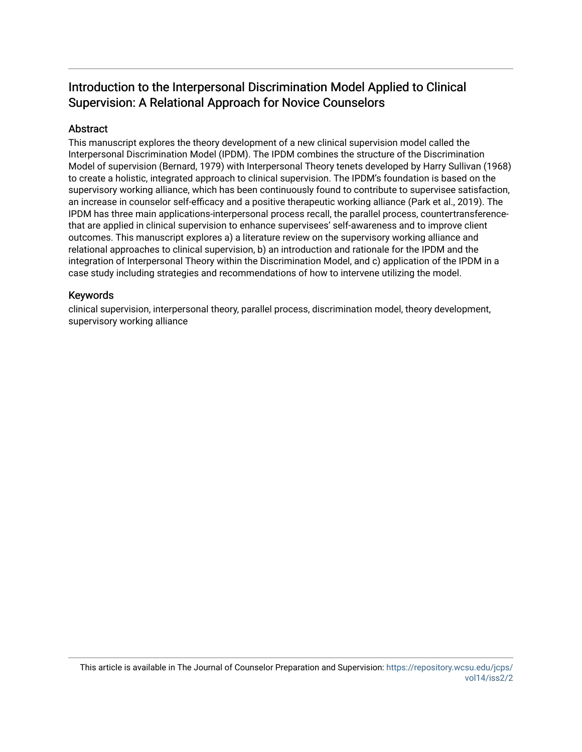# Introduction to the Interpersonal Discrimination Model Applied to Clinical Supervision: A Relational Approach for Novice Counselors

# Abstract

This manuscript explores the theory development of a new clinical supervision model called the Interpersonal Discrimination Model (IPDM). The IPDM combines the structure of the Discrimination Model of supervision (Bernard, 1979) with Interpersonal Theory tenets developed by Harry Sullivan (1968) to create a holistic, integrated approach to clinical supervision. The IPDM's foundation is based on the supervisory working alliance, which has been continuously found to contribute to supervisee satisfaction, an increase in counselor self-efficacy and a positive therapeutic working alliance (Park et al., 2019). The IPDM has three main applications-interpersonal process recall, the parallel process, countertransferencethat are applied in clinical supervision to enhance supervisees' self-awareness and to improve client outcomes. This manuscript explores a) a literature review on the supervisory working alliance and relational approaches to clinical supervision, b) an introduction and rationale for the IPDM and the integration of Interpersonal Theory within the Discrimination Model, and c) application of the IPDM in a case study including strategies and recommendations of how to intervene utilizing the model.

# Keywords

clinical supervision, interpersonal theory, parallel process, discrimination model, theory development, supervisory working alliance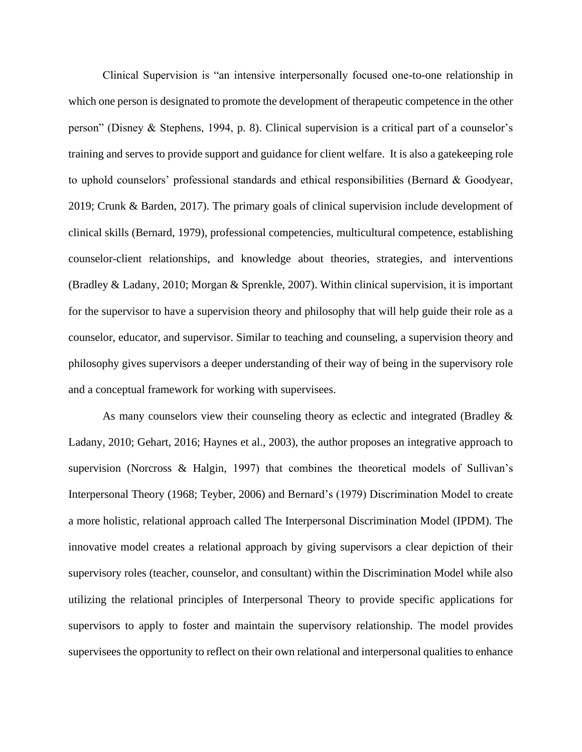Clinical Supervision is "an intensive interpersonally focused one-to-one relationship in which one person is designated to promote the development of therapeutic competence in the other person" (Disney & Stephens, 1994, p. 8). Clinical supervision is a critical part of a counselor's training and serves to provide support and guidance for client welfare. It is also a gatekeeping role to uphold counselors' professional standards and ethical responsibilities (Bernard & Goodyear, 2019; Crunk & Barden, 2017). The primary goals of clinical supervision include development of clinical skills (Bernard, 1979), professional competencies, multicultural competence, establishing counselor-client relationships, and knowledge about theories, strategies, and interventions (Bradley & Ladany, 2010; Morgan & Sprenkle, 2007). Within clinical supervision, it is important for the supervisor to have a supervision theory and philosophy that will help guide their role as a counselor, educator, and supervisor. Similar to teaching and counseling, a supervision theory and philosophy gives supervisors a deeper understanding of their way of being in the supervisory role and a conceptual framework for working with supervisees.

As many counselors view their counseling theory as eclectic and integrated (Bradley & Ladany, 2010; Gehart, 2016; Haynes et al., 2003), the author proposes an integrative approach to supervision (Norcross & Halgin, 1997) that combines the theoretical models of Sullivan's Interpersonal Theory (1968; Teyber, 2006) and Bernard's (1979) Discrimination Model to create a more holistic, relational approach called The Interpersonal Discrimination Model (IPDM). The innovative model creates a relational approach by giving supervisors a clear depiction of their supervisory roles (teacher, counselor, and consultant) within the Discrimination Model while also utilizing the relational principles of Interpersonal Theory to provide specific applications for supervisors to apply to foster and maintain the supervisory relationship. The model provides supervisees the opportunity to reflect on their own relational and interpersonal qualities to enhance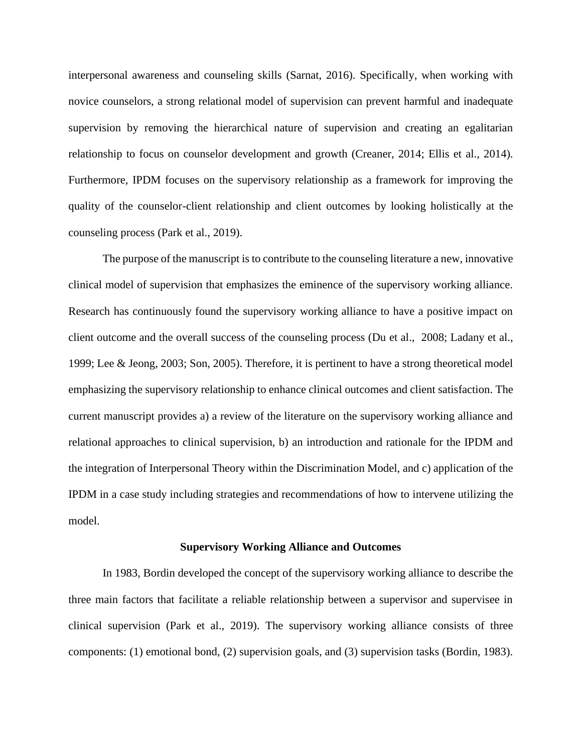interpersonal awareness and counseling skills (Sarnat, 2016). Specifically, when working with novice counselors, a strong relational model of supervision can prevent harmful and inadequate supervision by removing the hierarchical nature of supervision and creating an egalitarian relationship to focus on counselor development and growth (Creaner, 2014; Ellis et al., 2014). Furthermore, IPDM focuses on the supervisory relationship as a framework for improving the quality of the counselor-client relationship and client outcomes by looking holistically at the counseling process (Park et al., 2019).

The purpose of the manuscript is to contribute to the counseling literature a new, innovative clinical model of supervision that emphasizes the eminence of the supervisory working alliance. Research has continuously found the supervisory working alliance to have a positive impact on client outcome and the overall success of the counseling process (Du et al., [2008;](https://onlinelibrary-wiley-com.huaryu.kl.oakland.edu/doi/full/10.1002/jcad.12292#jcad12292-bib-0021) Ladany et al.[,](https://onlinelibrary-wiley-com.huaryu.kl.oakland.edu/doi/full/10.1002/jcad.12292#jcad12292-bib-0043) [1999;](https://onlinelibrary-wiley-com.huaryu.kl.oakland.edu/doi/full/10.1002/jcad.12292#jcad12292-bib-0043) Lee & Jeong, [2003;](https://onlinelibrary-wiley-com.huaryu.kl.oakland.edu/doi/full/10.1002/jcad.12292#jcad12292-bib-0049) Son[,](https://onlinelibrary-wiley-com.huaryu.kl.oakland.edu/doi/full/10.1002/jcad.12292#jcad12292-bib-0070) [2005\)](https://onlinelibrary-wiley-com.huaryu.kl.oakland.edu/doi/full/10.1002/jcad.12292#jcad12292-bib-0070). Therefore, it is pertinent to have a strong theoretical model emphasizing the supervisory relationship to enhance clinical outcomes and client satisfaction. The current manuscript provides a) a review of the literature on the supervisory working alliance and relational approaches to clinical supervision, b) an introduction and rationale for the IPDM and the integration of Interpersonal Theory within the Discrimination Model, and c) application of the IPDM in a case study including strategies and recommendations of how to intervene utilizing the model.

#### **Supervisory Working Alliance and Outcomes**

In 1983, Bordin developed the concept of the supervisory working alliance to describe the three main factors that facilitate a reliable relationship between a supervisor and supervisee in clinical supervision (Park et al., 2019). The supervisory working alliance consists of three components: (1) emotional bond, (2) supervision goals, and (3) supervision tasks (Bordin, 1983).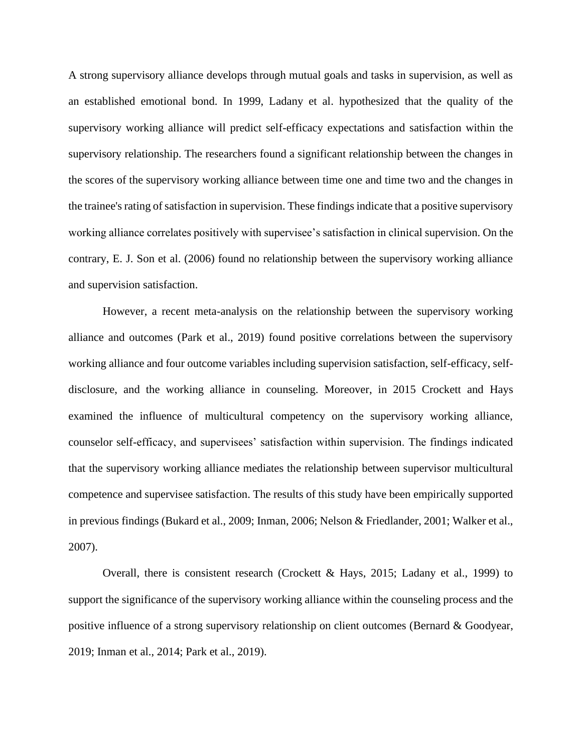A strong supervisory alliance develops through mutual goals and tasks in supervision, as well as an established emotional bond. In 1999, Ladany et al. hypothesized that the quality of the supervisory working alliance will predict self-efficacy expectations and satisfaction within the supervisory relationship. The researchers found a significant relationship between the changes in the scores of the supervisory working alliance between time one and time two and the changes in the trainee's rating of satisfaction in supervision. These findings indicate that a positive supervisory working alliance correlates positively with supervisee's satisfaction in clinical supervision. On the contrary, E. J. Son et al. (2006) found no relationship between the supervisory working alliance and supervision satisfaction.

However, a recent meta-analysis on the relationship between the supervisory working alliance and outcomes (Park et al., 2019) found positive correlations between the supervisory working alliance and four outcome variables including supervision satisfaction, self-efficacy, selfdisclosure, and the working alliance in counseling. Moreover, in 2015 Crockett and Hays examined the influence of multicultural competency on the supervisory working alliance, counselor self-efficacy, and supervisees' satisfaction within supervision. The findings indicated that the supervisory working alliance mediates the relationship between supervisor multicultural competence and supervisee satisfaction. The results of this study have been empirically supported in previous findings (Bukard et al., 2009; Inman, 2006; Nelson & Friedlander, 2001; Walker et al., 2007).

Overall, there is consistent research (Crockett & Hays, 2015; Ladany et al., 1999) to support the significance of the supervisory working alliance within the counseling process and the positive influence of a strong supervisory relationship on client outcomes (Bernard & Goodyear, 2019; Inman et al., 2014; Park et al., 2019).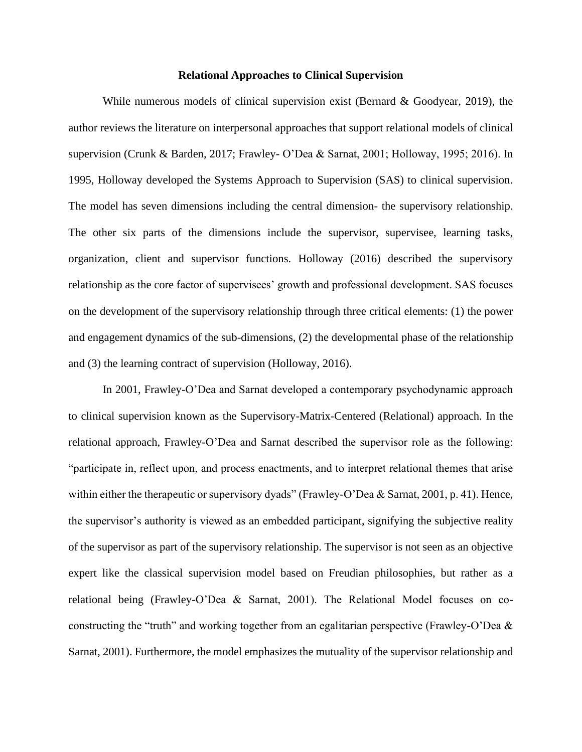## **Relational Approaches to Clinical Supervision**

While numerous models of clinical supervision exist (Bernard  $\&$  Goodyear, 2019), the author reviews the literature on interpersonal approaches that support relational models of clinical supervision (Crunk & Barden, 2017; Frawley- O'Dea & Sarnat, 2001; Holloway, 1995; 2016). In 1995, Holloway developed the Systems Approach to Supervision (SAS) to clinical supervision. The model has seven dimensions including the central dimension- the supervisory relationship. The other six parts of the dimensions include the supervisor, supervisee, learning tasks, organization, client and supervisor functions. Holloway (2016) described the supervisory relationship as the core factor of supervisees' growth and professional development. SAS focuses on the development of the supervisory relationship through three critical elements: (1) the power and engagement dynamics of the sub-dimensions, (2) the developmental phase of the relationship and (3) the learning contract of supervision (Holloway, 2016).

In 2001, Frawley-O'Dea and Sarnat developed a contemporary psychodynamic approach to clinical supervision known as the Supervisory-Matrix-Centered (Relational) approach. In the relational approach, Frawley-O'Dea and Sarnat described the supervisor role as the following: "participate in, reflect upon, and process enactments, and to interpret relational themes that arise within either the therapeutic or supervisory dyads" (Frawley-O'Dea & Sarnat, 2001, p. 41). Hence, the supervisor's authority is viewed as an embedded participant, signifying the subjective reality of the supervisor as part of the supervisory relationship. The supervisor is not seen as an objective expert like the classical supervision model based on Freudian philosophies, but rather as a relational being (Frawley-O'Dea & Sarnat, 2001). The Relational Model focuses on coconstructing the "truth" and working together from an egalitarian perspective (Frawley-O'Dea & Sarnat, 2001). Furthermore, the model emphasizes the mutuality of the supervisor relationship and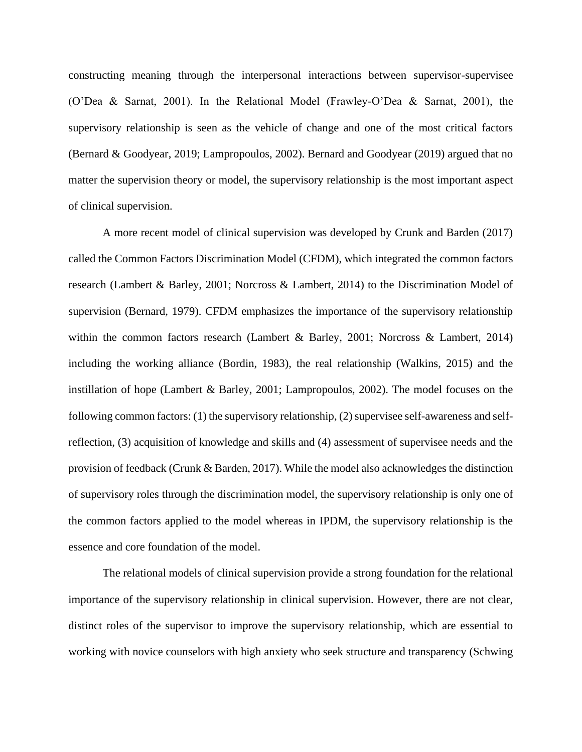constructing meaning through the interpersonal interactions between supervisor-supervisee (O'Dea & Sarnat, 2001). In the Relational Model (Frawley-O'Dea & Sarnat, 2001), the supervisory relationship is seen as the vehicle of change and one of the most critical factors (Bernard & Goodyear, 2019; Lampropoulos, 2002). Bernard and Goodyear (2019) argued that no matter the supervision theory or model, the supervisory relationship is the most important aspect of clinical supervision.

A more recent model of clinical supervision was developed by Crunk and Barden (2017) called the Common Factors Discrimination Model (CFDM), which integrated the common factors research (Lambert & Barley, 2001; Norcross & Lambert, 2014) to the Discrimination Model of supervision (Bernard, 1979). CFDM emphasizes the importance of the supervisory relationship within the common factors research (Lambert & Barley, 2001; Norcross & Lambert, 2014) including the working alliance (Bordin, 1983), the real relationship (Walkins, 2015) and the instillation of hope (Lambert & Barley, 2001; Lampropoulos, 2002). The model focuses on the following common factors: (1) the supervisory relationship, (2) supervisee self-awareness and selfreflection, (3) acquisition of knowledge and skills and (4) assessment of supervisee needs and the provision of feedback (Crunk & Barden, 2017). While the model also acknowledges the distinction of supervisory roles through the discrimination model, the supervisory relationship is only one of the common factors applied to the model whereas in IPDM, the supervisory relationship is the essence and core foundation of the model.

The relational models of clinical supervision provide a strong foundation for the relational importance of the supervisory relationship in clinical supervision. However, there are not clear, distinct roles of the supervisor to improve the supervisory relationship, which are essential to working with novice counselors with high anxiety who seek structure and transparency (Schwing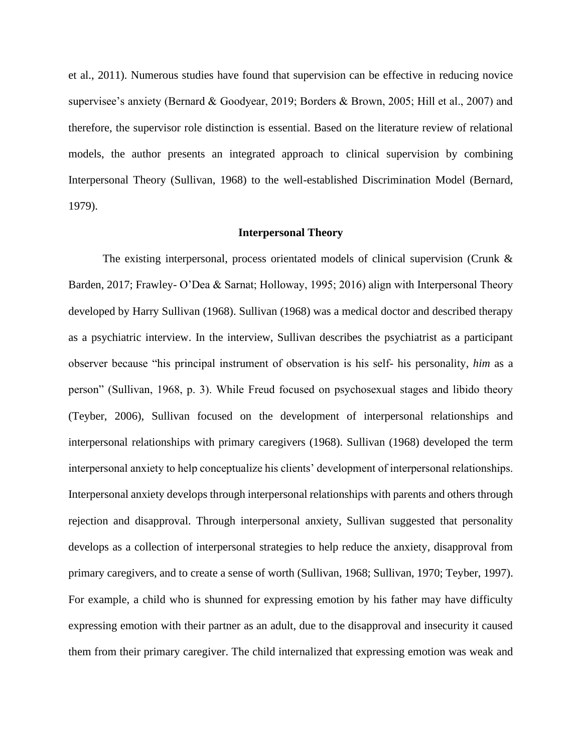et al., 2011). Numerous studies have found that supervision can be effective in reducing novice supervisee's anxiety (Bernard & Goodyear, 2019; Borders & Brown, 2005; Hill et al., 2007) and therefore, the supervisor role distinction is essential. Based on the literature review of relational models, the author presents an integrated approach to clinical supervision by combining Interpersonal Theory (Sullivan, 1968) to the well-established Discrimination Model (Bernard, 1979).

#### **Interpersonal Theory**

The existing interpersonal, process orientated models of clinical supervision (Crunk & Barden, 2017; Frawley- O'Dea & Sarnat; Holloway, 1995; 2016) align with Interpersonal Theory developed by Harry Sullivan (1968). Sullivan (1968) was a medical doctor and described therapy as a psychiatric interview. In the interview, Sullivan describes the psychiatrist as a participant observer because "his principal instrument of observation is his self- his personality, *him* as a person" (Sullivan, 1968, p. 3). While Freud focused on psychosexual stages and libido theory (Teyber, 2006), Sullivan focused on the development of interpersonal relationships and interpersonal relationships with primary caregivers (1968). Sullivan (1968) developed the term interpersonal anxiety to help conceptualize his clients' development of interpersonal relationships. Interpersonal anxiety develops through interpersonal relationships with parents and others through rejection and disapproval. Through interpersonal anxiety, Sullivan suggested that personality develops as a collection of interpersonal strategies to help reduce the anxiety, disapproval from primary caregivers, and to create a sense of worth (Sullivan, 1968; Sullivan, 1970; Teyber, 1997). For example, a child who is shunned for expressing emotion by his father may have difficulty expressing emotion with their partner as an adult, due to the disapproval and insecurity it caused them from their primary caregiver. The child internalized that expressing emotion was weak and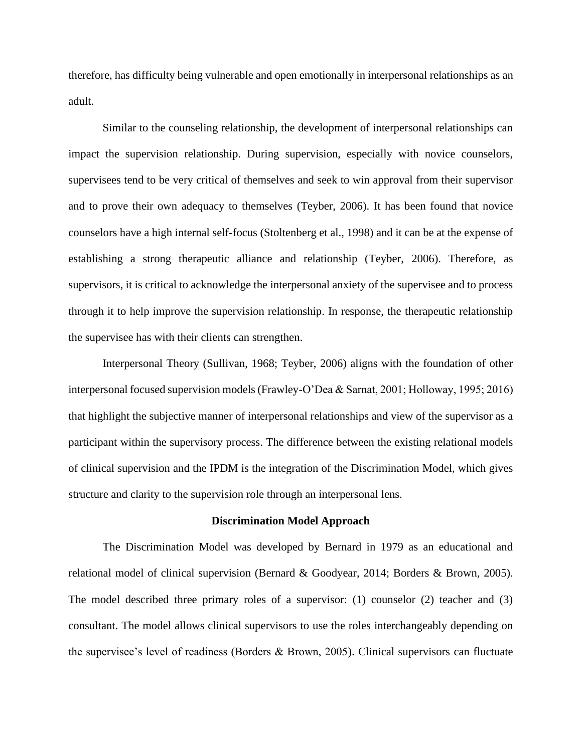therefore, has difficulty being vulnerable and open emotionally in interpersonal relationships as an adult.

Similar to the counseling relationship, the development of interpersonal relationships can impact the supervision relationship. During supervision, especially with novice counselors, supervisees tend to be very critical of themselves and seek to win approval from their supervisor and to prove their own adequacy to themselves (Teyber, 2006). It has been found that novice counselors have a high internal self-focus (Stoltenberg et al., 1998) and it can be at the expense of establishing a strong therapeutic alliance and relationship (Teyber, 2006). Therefore, as supervisors, it is critical to acknowledge the interpersonal anxiety of the supervisee and to process through it to help improve the supervision relationship. In response, the therapeutic relationship the supervisee has with their clients can strengthen.

Interpersonal Theory (Sullivan, 1968; Teyber, 2006) aligns with the foundation of other interpersonal focused supervision models (Frawley-O'Dea & Sarnat, 2001; Holloway, 1995; 2016) that highlight the subjective manner of interpersonal relationships and view of the supervisor as a participant within the supervisory process. The difference between the existing relational models of clinical supervision and the IPDM is the integration of the Discrimination Model, which gives structure and clarity to the supervision role through an interpersonal lens.

#### **Discrimination Model Approach**

The Discrimination Model was developed by Bernard in 1979 as an educational and relational model of clinical supervision (Bernard & Goodyear, 2014; Borders & Brown, 2005). The model described three primary roles of a supervisor: (1) counselor (2) teacher and (3) consultant. The model allows clinical supervisors to use the roles interchangeably depending on the supervisee's level of readiness (Borders & Brown, 2005). Clinical supervisors can fluctuate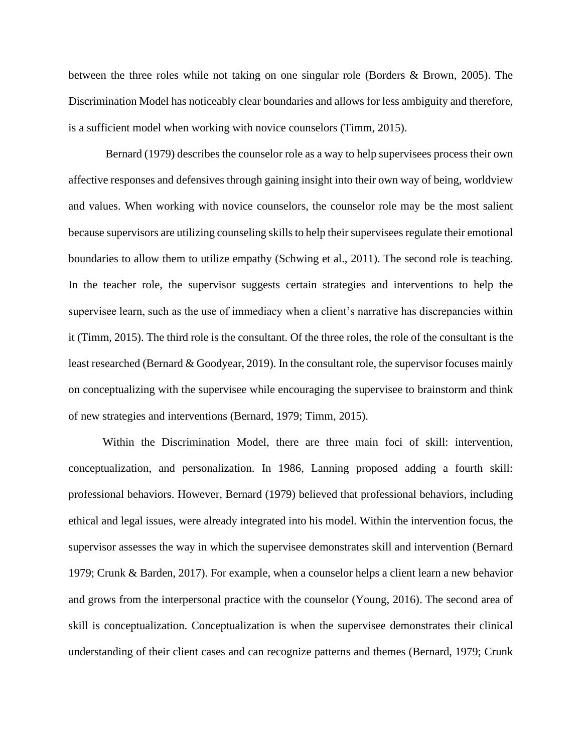between the three roles while not taking on one singular role (Borders & Brown, 2005). The Discrimination Model has noticeably clear boundaries and allows for less ambiguity and therefore, is a sufficient model when working with novice counselors (Timm, 2015).

Bernard (1979) describes the counselor role as a way to help supervisees process their own affective responses and defensives through gaining insight into their own way of being, worldview and values. When working with novice counselors, the counselor role may be the most salient because supervisors are utilizing counseling skills to help their supervisees regulate their emotional boundaries to allow them to utilize empathy (Schwing et al., 2011). The second role is teaching. In the teacher role, the supervisor suggests certain strategies and interventions to help the supervisee learn, such as the use of immediacy when a client's narrative has discrepancies within it (Timm, 2015). The third role is the consultant. Of the three roles, the role of the consultant is the least researched (Bernard & Goodyear, 2019). In the consultant role, the supervisor focuses mainly on conceptualizing with the supervisee while encouraging the supervisee to brainstorm and think of new strategies and interventions (Bernard, 1979; Timm, 2015).

Within the Discrimination Model, there are three main foci of skill: intervention, conceptualization, and personalization. In 1986, Lanning proposed adding a fourth skill: professional behaviors. However, Bernard (1979) believed that professional behaviors, including ethical and legal issues, were already integrated into his model. Within the intervention focus, the supervisor assesses the way in which the supervisee demonstrates skill and intervention (Bernard 1979; Crunk & Barden, 2017). For example, when a counselor helps a client learn a new behavior and grows from the interpersonal practice with the counselor (Young, 2016). The second area of skill is conceptualization. Conceptualization is when the supervisee demonstrates their clinical understanding of their client cases and can recognize patterns and themes (Bernard, 1979; Crunk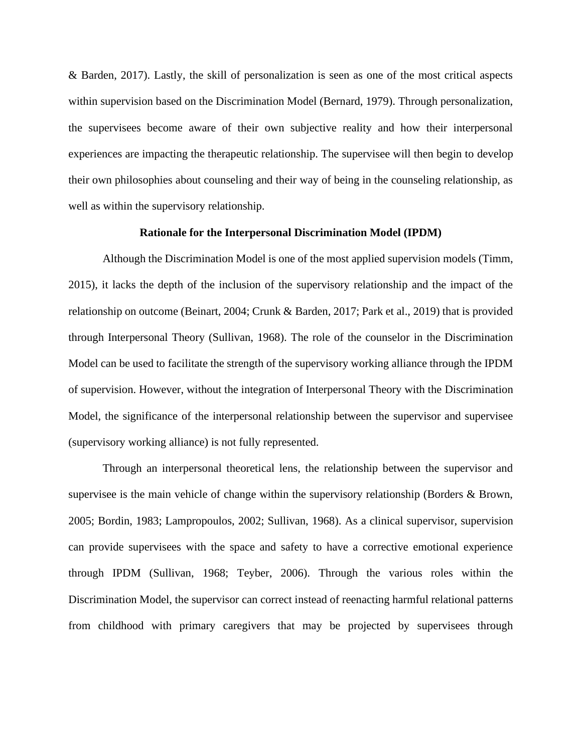& Barden, 2017). Lastly, the skill of personalization is seen as one of the most critical aspects within supervision based on the Discrimination Model (Bernard, 1979). Through personalization, the supervisees become aware of their own subjective reality and how their interpersonal experiences are impacting the therapeutic relationship. The supervisee will then begin to develop their own philosophies about counseling and their way of being in the counseling relationship, as well as within the supervisory relationship.

#### **Rationale for the Interpersonal Discrimination Model (IPDM)**

Although the Discrimination Model is one of the most applied supervision models (Timm, 2015), it lacks the depth of the inclusion of the supervisory relationship and the impact of the relationship on outcome (Beinart, 2004; Crunk & Barden, 2017; Park et al., 2019) that is provided through Interpersonal Theory (Sullivan, 1968). The role of the counselor in the Discrimination Model can be used to facilitate the strength of the supervisory working alliance through the IPDM of supervision. However, without the integration of Interpersonal Theory with the Discrimination Model, the significance of the interpersonal relationship between the supervisor and supervisee (supervisory working alliance) is not fully represented.

Through an interpersonal theoretical lens, the relationship between the supervisor and supervisee is the main vehicle of change within the supervisory relationship (Borders & Brown, 2005; Bordin, 1983; Lampropoulos, 2002; Sullivan, 1968). As a clinical supervisor, supervision can provide supervisees with the space and safety to have a corrective emotional experience through IPDM (Sullivan, 1968; Teyber, 2006). Through the various roles within the Discrimination Model, the supervisor can correct instead of reenacting harmful relational patterns from childhood with primary caregivers that may be projected by supervisees through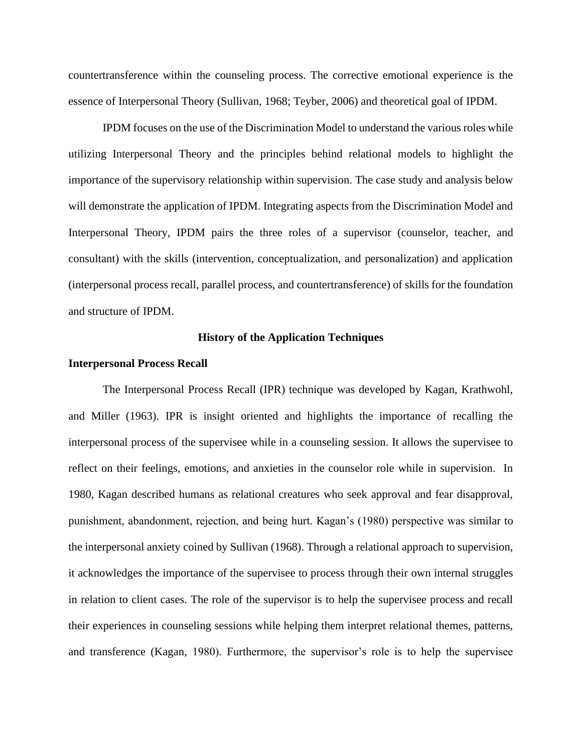countertransference within the counseling process. The corrective emotional experience is the essence of Interpersonal Theory (Sullivan, 1968; Teyber, 2006) and theoretical goal of IPDM.

IPDM focuses on the use of the Discrimination Model to understand the various roles while utilizing Interpersonal Theory and the principles behind relational models to highlight the importance of the supervisory relationship within supervision. The case study and analysis below will demonstrate the application of IPDM. Integrating aspects from the Discrimination Model and Interpersonal Theory, IPDM pairs the three roles of a supervisor (counselor, teacher, and consultant) with the skills (intervention, conceptualization, and personalization) and application (interpersonal process recall, parallel process, and countertransference) of skills for the foundation and structure of IPDM.

#### **History of the Application Techniques**

#### **Interpersonal Process Recall**

The Interpersonal Process Recall (IPR) technique was developed by Kagan, Krathwohl, and Miller (1963). IPR is insight oriented and highlights the importance of recalling the interpersonal process of the supervisee while in a counseling session. It allows the supervisee to reflect on their feelings, emotions, and anxieties in the counselor role while in supervision. In 1980, Kagan described humans as relational creatures who seek approval and fear disapproval, punishment, abandonment, rejection, and being hurt. Kagan's (1980) perspective was similar to the interpersonal anxiety coined by Sullivan (1968). Through a relational approach to supervision, it acknowledges the importance of the supervisee to process through their own internal struggles in relation to client cases. The role of the supervisor is to help the supervisee process and recall their experiences in counseling sessions while helping them interpret relational themes, patterns, and transference (Kagan, 1980). Furthermore, the supervisor's role is to help the supervisee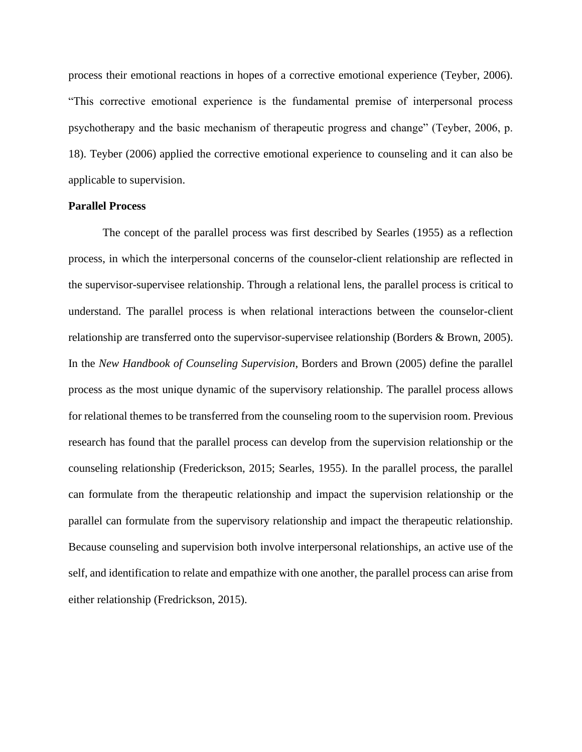process their emotional reactions in hopes of a corrective emotional experience (Teyber, 2006). "This corrective emotional experience is the fundamental premise of interpersonal process psychotherapy and the basic mechanism of therapeutic progress and change" (Teyber, 2006, p. 18). Teyber (2006) applied the corrective emotional experience to counseling and it can also be applicable to supervision.

#### **Parallel Process**

The concept of the parallel process was first described by Searles (1955) as a reflection process, in which the interpersonal concerns of the counselor-client relationship are reflected in the supervisor-supervisee relationship. Through a relational lens, the parallel process is critical to understand. The parallel process is when relational interactions between the counselor-client relationship are transferred onto the supervisor-supervisee relationship (Borders & Brown, 2005). In the *New Handbook of Counseling Supervision*, Borders and Brown (2005) define the parallel process as the most unique dynamic of the supervisory relationship. The parallel process allows for relational themes to be transferred from the counseling room to the supervision room. Previous research has found that the parallel process can develop from the supervision relationship or the counseling relationship (Frederickson, 2015; Searles, 1955). In the parallel process, the parallel can formulate from the therapeutic relationship and impact the supervision relationship or the parallel can formulate from the supervisory relationship and impact the therapeutic relationship. Because counseling and supervision both involve interpersonal relationships, an active use of the self, and identification to relate and empathize with one another, the parallel process can arise from either relationship (Fredrickson, 2015).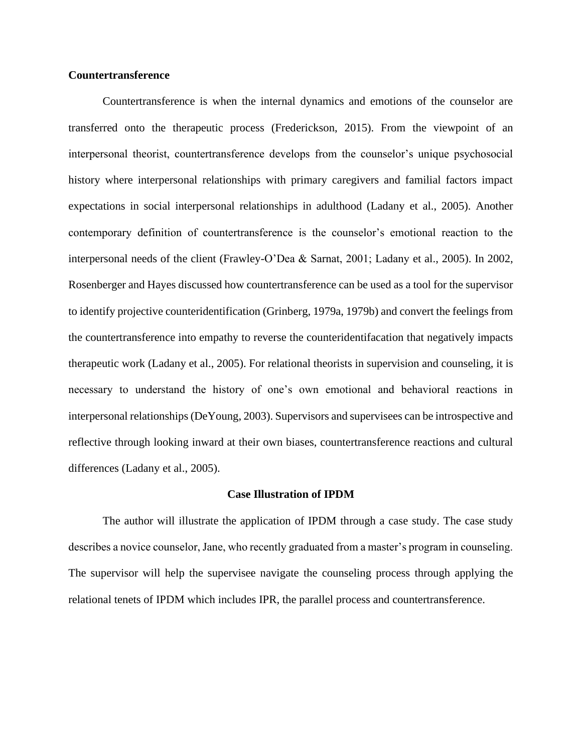### **Countertransference**

Countertransference is when the internal dynamics and emotions of the counselor are transferred onto the therapeutic process (Frederickson, 2015). From the viewpoint of an interpersonal theorist, countertransference develops from the counselor's unique psychosocial history where interpersonal relationships with primary caregivers and familial factors impact expectations in social interpersonal relationships in adulthood (Ladany et al., 2005). Another contemporary definition of countertransference is the counselor's emotional reaction to the interpersonal needs of the client (Frawley-O'Dea & Sarnat, 2001; Ladany et al., 2005). In 2002, Rosenberger and Hayes discussed how countertransference can be used as a tool for the supervisor to identify projective counteridentification (Grinberg, 1979a, 1979b) and convert the feelings from the countertransference into empathy to reverse the counteridentifacation that negatively impacts therapeutic work (Ladany et al., 2005). For relational theorists in supervision and counseling, it is necessary to understand the history of one's own emotional and behavioral reactions in interpersonal relationships (DeYoung, 2003). Supervisors and supervisees can be introspective and reflective through looking inward at their own biases, countertransference reactions and cultural differences (Ladany et al., 2005).

#### **Case Illustration of IPDM**

The author will illustrate the application of IPDM through a case study. The case study describes a novice counselor, Jane, who recently graduated from a master's program in counseling. The supervisor will help the supervisee navigate the counseling process through applying the relational tenets of IPDM which includes IPR, the parallel process and countertransference.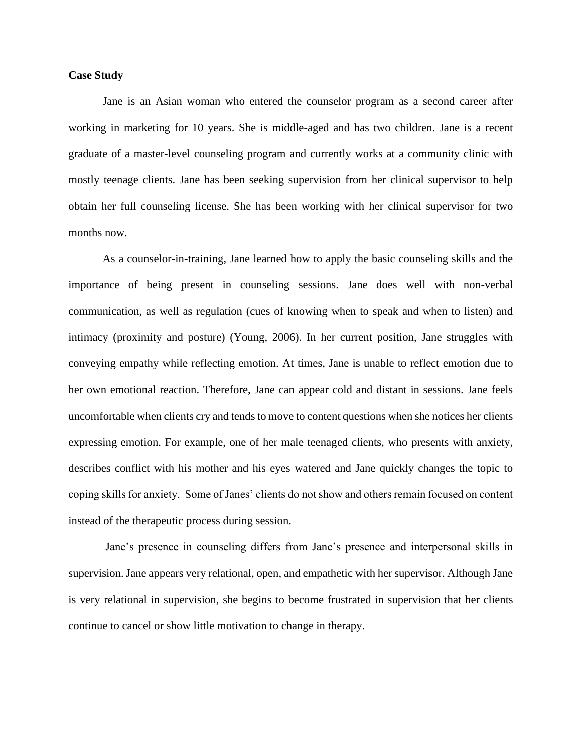#### **Case Study**

Jane is an Asian woman who entered the counselor program as a second career after working in marketing for 10 years. She is middle-aged and has two children. Jane is a recent graduate of a master-level counseling program and currently works at a community clinic with mostly teenage clients. Jane has been seeking supervision from her clinical supervisor to help obtain her full counseling license. She has been working with her clinical supervisor for two months now.

As a counselor-in-training, Jane learned how to apply the basic counseling skills and the importance of being present in counseling sessions. Jane does well with non-verbal communication, as well as regulation (cues of knowing when to speak and when to listen) and intimacy (proximity and posture) (Young, 2006). In her current position, Jane struggles with conveying empathy while reflecting emotion. At times, Jane is unable to reflect emotion due to her own emotional reaction. Therefore, Jane can appear cold and distant in sessions. Jane feels uncomfortable when clients cry and tends to move to content questions when she notices her clients expressing emotion. For example, one of her male teenaged clients, who presents with anxiety, describes conflict with his mother and his eyes watered and Jane quickly changes the topic to coping skills for anxiety. Some of Janes' clients do not show and others remain focused on content instead of the therapeutic process during session.

Jane's presence in counseling differs from Jane's presence and interpersonal skills in supervision. Jane appears very relational, open, and empathetic with her supervisor. Although Jane is very relational in supervision, she begins to become frustrated in supervision that her clients continue to cancel or show little motivation to change in therapy.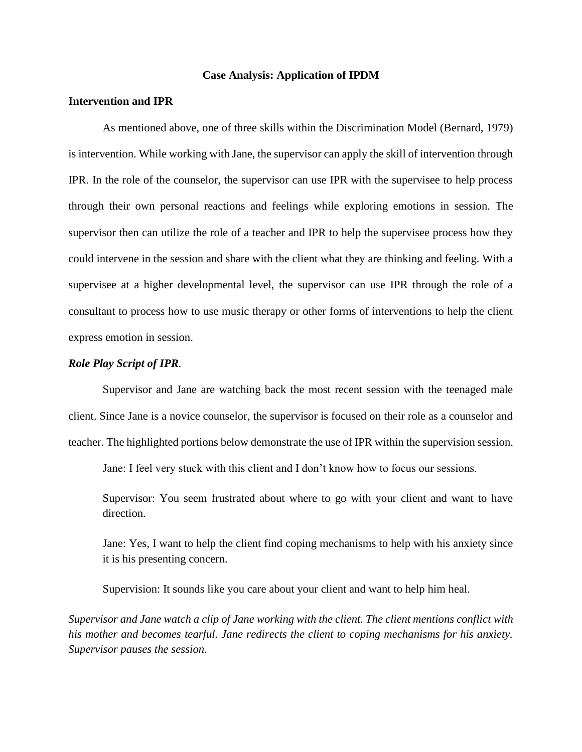### **Case Analysis: Application of IPDM**

# **Intervention and IPR**

As mentioned above, one of three skills within the Discrimination Model (Bernard, 1979) is intervention. While working with Jane, the supervisor can apply the skill of intervention through IPR. In the role of the counselor, the supervisor can use IPR with the supervisee to help process through their own personal reactions and feelings while exploring emotions in session. The supervisor then can utilize the role of a teacher and IPR to help the supervisee process how they could intervene in the session and share with the client what they are thinking and feeling. With a supervisee at a higher developmental level, the supervisor can use IPR through the role of a consultant to process how to use music therapy or other forms of interventions to help the client express emotion in session.

#### *Role Play Script of IPR.*

Supervisor and Jane are watching back the most recent session with the teenaged male client. Since Jane is a novice counselor, the supervisor is focused on their role as a counselor and teacher. The highlighted portions below demonstrate the use of IPR within the supervision session.

Jane: I feel very stuck with this client and I don't know how to focus our sessions.

Supervisor: You seem frustrated about where to go with your client and want to have direction.

Jane: Yes, I want to help the client find coping mechanisms to help with his anxiety since it is his presenting concern.

Supervision: It sounds like you care about your client and want to help him heal.

*Supervisor and Jane watch a clip of Jane working with the client. The client mentions conflict with his mother and becomes tearful. Jane redirects the client to coping mechanisms for his anxiety. Supervisor pauses the session.*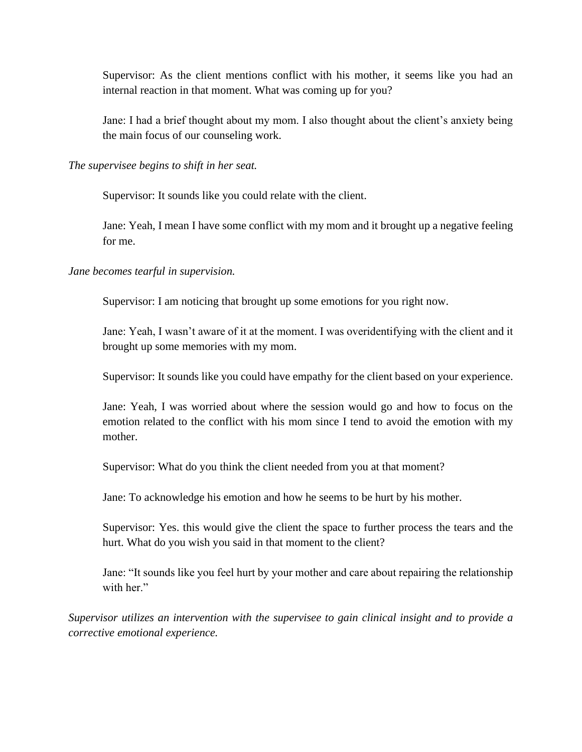Supervisor: As the client mentions conflict with his mother, it seems like you had an internal reaction in that moment. What was coming up for you?

Jane: I had a brief thought about my mom. I also thought about the client's anxiety being the main focus of our counseling work.

*The supervisee begins to shift in her seat.* 

Supervisor: It sounds like you could relate with the client.

Jane: Yeah, I mean I have some conflict with my mom and it brought up a negative feeling for me.

*Jane becomes tearful in supervision.* 

Supervisor: I am noticing that brought up some emotions for you right now.

Jane: Yeah, I wasn't aware of it at the moment. I was overidentifying with the client and it brought up some memories with my mom.

Supervisor: It sounds like you could have empathy for the client based on your experience.

Jane: Yeah, I was worried about where the session would go and how to focus on the emotion related to the conflict with his mom since I tend to avoid the emotion with my mother.

Supervisor: What do you think the client needed from you at that moment?

Jane: To acknowledge his emotion and how he seems to be hurt by his mother.

Supervisor: Yes. this would give the client the space to further process the tears and the hurt. What do you wish you said in that moment to the client?

Jane: "It sounds like you feel hurt by your mother and care about repairing the relationship with her."

*Supervisor utilizes an intervention with the supervisee to gain clinical insight and to provide a corrective emotional experience.*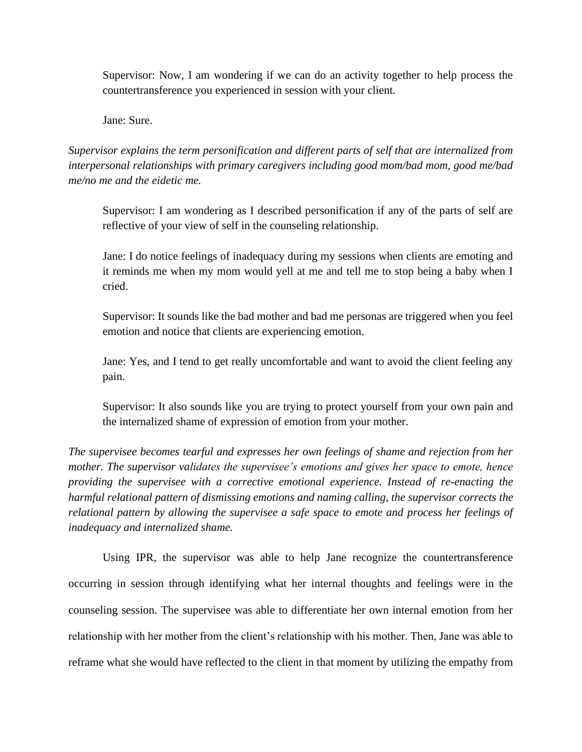Supervisor: Now, I am wondering if we can do an activity together to help process the countertransference you experienced in session with your client.

Jane: Sure.

*Supervisor explains the term personification and different parts of self that are internalized from interpersonal relationships with primary caregivers including good mom/bad mom, good me/bad me/no me and the eidetic me.* 

Supervisor: I am wondering as I described personification if any of the parts of self are reflective of your view of self in the counseling relationship.

Jane: I do notice feelings of inadequacy during my sessions when clients are emoting and it reminds me when my mom would yell at me and tell me to stop being a baby when I cried.

Supervisor: It sounds like the bad mother and bad me personas are triggered when you feel emotion and notice that clients are experiencing emotion.

Jane: Yes, and I tend to get really uncomfortable and want to avoid the client feeling any pain.

Supervisor: It also sounds like you are trying to protect yourself from your own pain and the internalized shame of expression of emotion from your mother.

*The supervisee becomes tearful and expresses her own feelings of shame and rejection from her mother. The supervisor validates the supervisee's emotions and gives her space to emote, hence providing the supervisee with a corrective emotional experience. Instead of re-enacting the harmful relational pattern of dismissing emotions and naming calling, the supervisor corrects the relational pattern by allowing the supervisee a safe space to emote and process her feelings of inadequacy and internalized shame.* 

Using IPR, the supervisor was able to help Jane recognize the countertransference occurring in session through identifying what her internal thoughts and feelings were in the counseling session. The supervisee was able to differentiate her own internal emotion from her relationship with her mother from the client's relationship with his mother. Then, Jane was able to reframe what she would have reflected to the client in that moment by utilizing the empathy from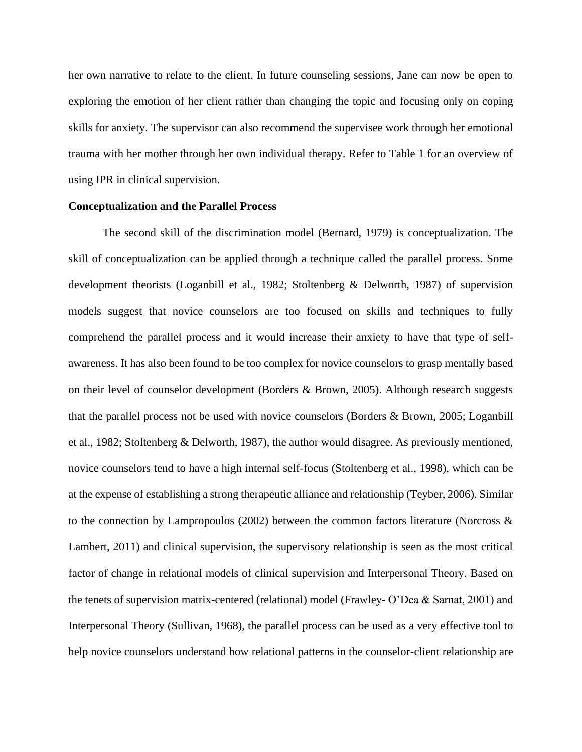her own narrative to relate to the client. In future counseling sessions, Jane can now be open to exploring the emotion of her client rather than changing the topic and focusing only on coping skills for anxiety. The supervisor can also recommend the supervisee work through her emotional trauma with her mother through her own individual therapy. Refer to Table 1 for an overview of using IPR in clinical supervision.

#### **Conceptualization and the Parallel Process**

The second skill of the discrimination model (Bernard, 1979) is conceptualization. The skill of conceptualization can be applied through a technique called the parallel process. Some development theorists (Loganbill et al., 1982; Stoltenberg & Delworth, 1987) of supervision models suggest that novice counselors are too focused on skills and techniques to fully comprehend the parallel process and it would increase their anxiety to have that type of selfawareness. It has also been found to be too complex for novice counselors to grasp mentally based on their level of counselor development (Borders & Brown, 2005). Although research suggests that the parallel process not be used with novice counselors (Borders & Brown, 2005; Loganbill et al., 1982; Stoltenberg & Delworth, 1987), the author would disagree. As previously mentioned, novice counselors tend to have a high internal self-focus (Stoltenberg et al., 1998), which can be at the expense of establishing a strong therapeutic alliance and relationship (Teyber, 2006). Similar to the connection by Lampropoulos (2002) between the common factors literature (Norcross  $\&$ Lambert, 2011) and clinical supervision, the supervisory relationship is seen as the most critical factor of change in relational models of clinical supervision and Interpersonal Theory. Based on the tenets of supervision matrix-centered (relational) model (Frawley- O'Dea & Sarnat, 2001) and Interpersonal Theory (Sullivan, 1968), the parallel process can be used as a very effective tool to help novice counselors understand how relational patterns in the counselor-client relationship are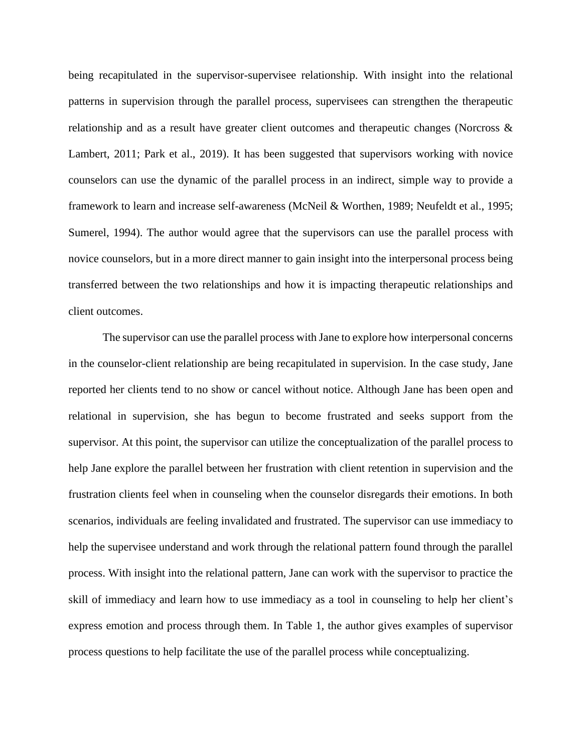being recapitulated in the supervisor-supervisee relationship. With insight into the relational patterns in supervision through the parallel process, supervisees can strengthen the therapeutic relationship and as a result have greater client outcomes and therapeutic changes (Norcross & Lambert, 2011; Park et al., 2019). It has been suggested that supervisors working with novice counselors can use the dynamic of the parallel process in an indirect, simple way to provide a framework to learn and increase self-awareness (McNeil & Worthen, 1989; Neufeldt et al., 1995; Sumerel, 1994). The author would agree that the supervisors can use the parallel process with novice counselors, but in a more direct manner to gain insight into the interpersonal process being transferred between the two relationships and how it is impacting therapeutic relationships and client outcomes.

The supervisor can use the parallel process with Jane to explore how interpersonal concerns in the counselor-client relationship are being recapitulated in supervision. In the case study, Jane reported her clients tend to no show or cancel without notice. Although Jane has been open and relational in supervision, she has begun to become frustrated and seeks support from the supervisor. At this point, the supervisor can utilize the conceptualization of the parallel process to help Jane explore the parallel between her frustration with client retention in supervision and the frustration clients feel when in counseling when the counselor disregards their emotions. In both scenarios, individuals are feeling invalidated and frustrated. The supervisor can use immediacy to help the supervisee understand and work through the relational pattern found through the parallel process. With insight into the relational pattern, Jane can work with the supervisor to practice the skill of immediacy and learn how to use immediacy as a tool in counseling to help her client's express emotion and process through them. In Table 1, the author gives examples of supervisor process questions to help facilitate the use of the parallel process while conceptualizing.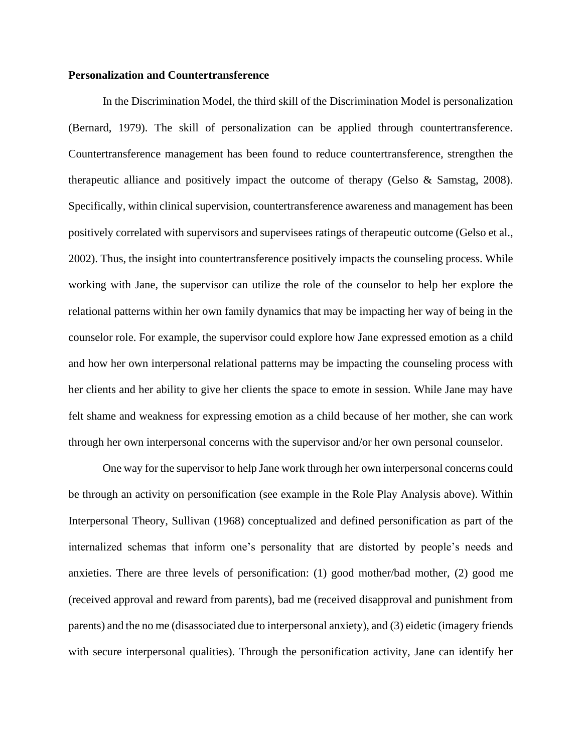#### **Personalization and Countertransference**

In the Discrimination Model, the third skill of the Discrimination Model is personalization (Bernard, 1979). The skill of personalization can be applied through countertransference. Countertransference management has been found to reduce countertransference, strengthen the therapeutic alliance and positively impact the outcome of therapy (Gelso & Samstag, 2008). Specifically, within clinical supervision, countertransference awareness and management has been positively correlated with supervisors and supervisees ratings of therapeutic outcome (Gelso et al., 2002). Thus, the insight into countertransference positively impacts the counseling process. While working with Jane, the supervisor can utilize the role of the counselor to help her explore the relational patterns within her own family dynamics that may be impacting her way of being in the counselor role. For example, the supervisor could explore how Jane expressed emotion as a child and how her own interpersonal relational patterns may be impacting the counseling process with her clients and her ability to give her clients the space to emote in session. While Jane may have felt shame and weakness for expressing emotion as a child because of her mother, she can work through her own interpersonal concerns with the supervisor and/or her own personal counselor.

One way for the supervisor to help Jane work through her own interpersonal concerns could be through an activity on personification (see example in the Role Play Analysis above). Within Interpersonal Theory, Sullivan (1968) conceptualized and defined personification as part of the internalized schemas that inform one's personality that are distorted by people's needs and anxieties. There are three levels of personification: (1) good mother/bad mother, (2) good me (received approval and reward from parents), bad me (received disapproval and punishment from parents) and the no me (disassociated due to interpersonal anxiety), and (3) eidetic (imagery friends with secure interpersonal qualities). Through the personification activity, Jane can identify her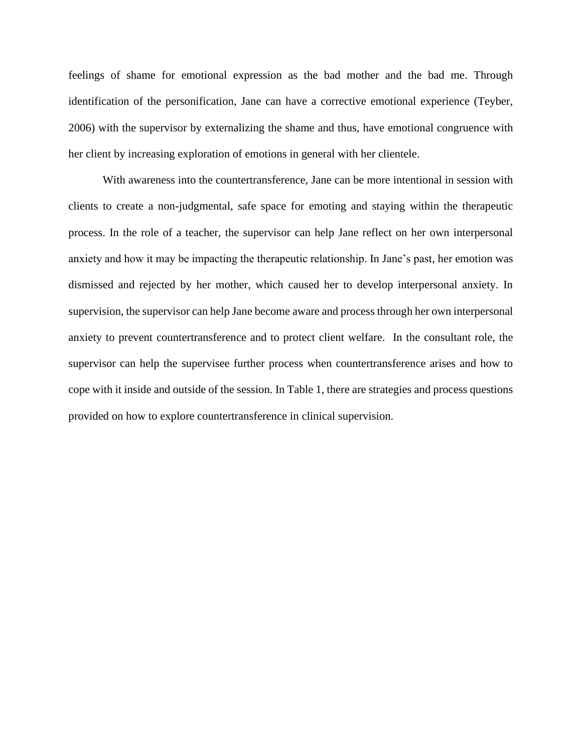feelings of shame for emotional expression as the bad mother and the bad me. Through identification of the personification, Jane can have a corrective emotional experience (Teyber, 2006) with the supervisor by externalizing the shame and thus, have emotional congruence with her client by increasing exploration of emotions in general with her clientele.

With awareness into the countertransference, Jane can be more intentional in session with clients to create a non-judgmental, safe space for emoting and staying within the therapeutic process. In the role of a teacher, the supervisor can help Jane reflect on her own interpersonal anxiety and how it may be impacting the therapeutic relationship. In Jane's past, her emotion was dismissed and rejected by her mother, which caused her to develop interpersonal anxiety. In supervision, the supervisor can help Jane become aware and process through her own interpersonal anxiety to prevent countertransference and to protect client welfare. In the consultant role, the supervisor can help the supervisee further process when countertransference arises and how to cope with it inside and outside of the session. In Table 1, there are strategies and process questions provided on how to explore countertransference in clinical supervision.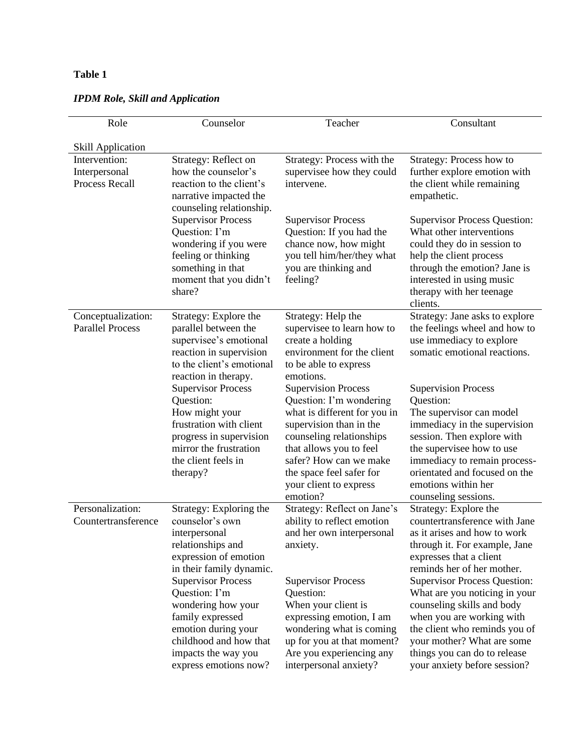# **Table 1**

| Role                                             | Counselor                                                                                                                                                                                                                                                                      | Teacher                                                                                                                                                                                                                                                             | Consultant                                                                                                                                                                                                                                                                                                                                                                         |
|--------------------------------------------------|--------------------------------------------------------------------------------------------------------------------------------------------------------------------------------------------------------------------------------------------------------------------------------|---------------------------------------------------------------------------------------------------------------------------------------------------------------------------------------------------------------------------------------------------------------------|------------------------------------------------------------------------------------------------------------------------------------------------------------------------------------------------------------------------------------------------------------------------------------------------------------------------------------------------------------------------------------|
| <b>Skill Application</b>                         |                                                                                                                                                                                                                                                                                |                                                                                                                                                                                                                                                                     |                                                                                                                                                                                                                                                                                                                                                                                    |
| Intervention:<br>Interpersonal<br>Process Recall | Strategy: Reflect on<br>how the counselor's<br>reaction to the client's<br>narrative impacted the<br>counseling relationship.                                                                                                                                                  | Strategy: Process with the<br>supervisee how they could<br>intervene.                                                                                                                                                                                               | Strategy: Process how to<br>further explore emotion with<br>the client while remaining<br>empathetic.                                                                                                                                                                                                                                                                              |
|                                                  | <b>Supervisor Process</b><br>Question: I'm<br>wondering if you were<br>feeling or thinking<br>something in that<br>moment that you didn't<br>share?                                                                                                                            | <b>Supervisor Process</b><br>Question: If you had the<br>chance now, how might<br>you tell him/her/they what<br>you are thinking and<br>feeling?                                                                                                                    | <b>Supervisor Process Question:</b><br>What other interventions<br>could they do in session to<br>help the client process<br>through the emotion? Jane is<br>interested in using music<br>therapy with her teenage<br>clients.                                                                                                                                                     |
| Conceptualization:<br><b>Parallel Process</b>    | Strategy: Explore the<br>parallel between the<br>supervisee's emotional<br>reaction in supervision<br>to the client's emotional<br>reaction in therapy.                                                                                                                        | Strategy: Help the<br>supervisee to learn how to<br>create a holding<br>environment for the client<br>to be able to express<br>emotions.                                                                                                                            | Strategy: Jane asks to explore<br>the feelings wheel and how to<br>use immediacy to explore<br>somatic emotional reactions.                                                                                                                                                                                                                                                        |
|                                                  | <b>Supervisor Process</b><br>Question:<br>How might your<br>frustration with client<br>progress in supervision<br>mirror the frustration<br>the client feels in<br>therapy?                                                                                                    | <b>Supervision Process</b><br>Question: I'm wondering<br>what is different for you in<br>supervision than in the<br>counseling relationships<br>that allows you to feel<br>safer? How can we make<br>the space feel safer for<br>your client to express<br>emotion? | <b>Supervision Process</b><br>Question:<br>The supervisor can model<br>immediacy in the supervision<br>session. Then explore with<br>the supervisee how to use<br>immediacy to remain process-<br>orientated and focused on the<br>emotions within her<br>counseling sessions.                                                                                                     |
| Personalization:<br>Countertransference          | Strategy: Exploring the<br>counselor's own<br>interpersonal<br>relationships and<br>expression of emotion<br>in their family dynamic.<br><b>Supervisor Process</b><br>Question: I'm<br>wondering how your<br>family expressed<br>emotion during your<br>childhood and how that | Strategy: Reflect on Jane's<br>ability to reflect emotion<br>and her own interpersonal<br>anxiety.<br><b>Supervisor Process</b><br>Question:<br>When your client is<br>expressing emotion, I am<br>wondering what is coming<br>up for you at that moment?           | Strategy: Explore the<br>countertransference with Jane<br>as it arises and how to work<br>through it. For example, Jane<br>expresses that a client<br>reminds her of her mother.<br><b>Supervisor Process Question:</b><br>What are you noticing in your<br>counseling skills and body<br>when you are working with<br>the client who reminds you of<br>your mother? What are some |
|                                                  | impacts the way you<br>express emotions now?                                                                                                                                                                                                                                   | Are you experiencing any<br>interpersonal anxiety?                                                                                                                                                                                                                  | things you can do to release<br>your anxiety before session?                                                                                                                                                                                                                                                                                                                       |

# *IPDM Role, Skill and Application*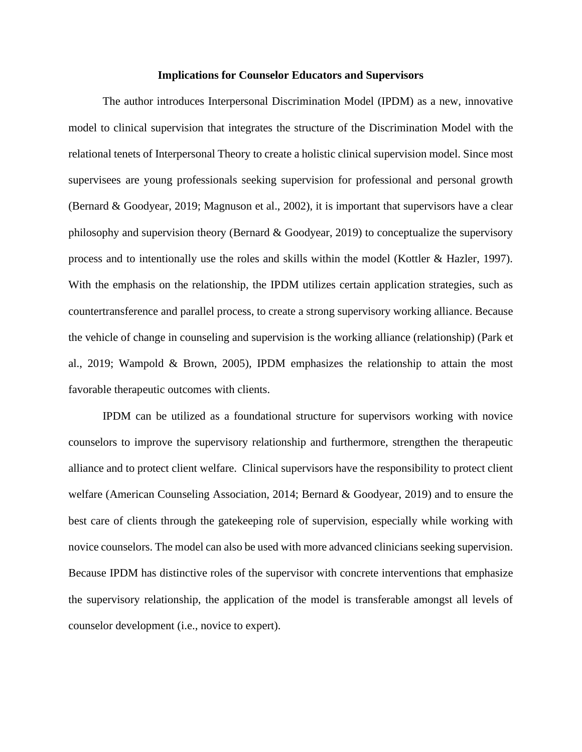#### **Implications for Counselor Educators and Supervisors**

The author introduces Interpersonal Discrimination Model (IPDM) as a new, innovative model to clinical supervision that integrates the structure of the Discrimination Model with the relational tenets of Interpersonal Theory to create a holistic clinical supervision model. Since most supervisees are young professionals seeking supervision for professional and personal growth (Bernard & Goodyear, 2019; Magnuson et al., 2002), it is important that supervisors have a clear philosophy and supervision theory (Bernard & Goodyear, 2019) to conceptualize the supervisory process and to intentionally use the roles and skills within the model (Kottler & Hazler, 1997). With the emphasis on the relationship, the IPDM utilizes certain application strategies, such as countertransference and parallel process, to create a strong supervisory working alliance. Because the vehicle of change in counseling and supervision is the working alliance (relationship) (Park et al., 2019; Wampold & Brown, 2005), IPDM emphasizes the relationship to attain the most favorable therapeutic outcomes with clients.

IPDM can be utilized as a foundational structure for supervisors working with novice counselors to improve the supervisory relationship and furthermore, strengthen the therapeutic alliance and to protect client welfare. Clinical supervisors have the responsibility to protect client welfare (American Counseling Association, 2014; Bernard & Goodyear, 2019) and to ensure the best care of clients through the gatekeeping role of supervision, especially while working with novice counselors. The model can also be used with more advanced clinicians seeking supervision. Because IPDM has distinctive roles of the supervisor with concrete interventions that emphasize the supervisory relationship, the application of the model is transferable amongst all levels of counselor development (i.e., novice to expert).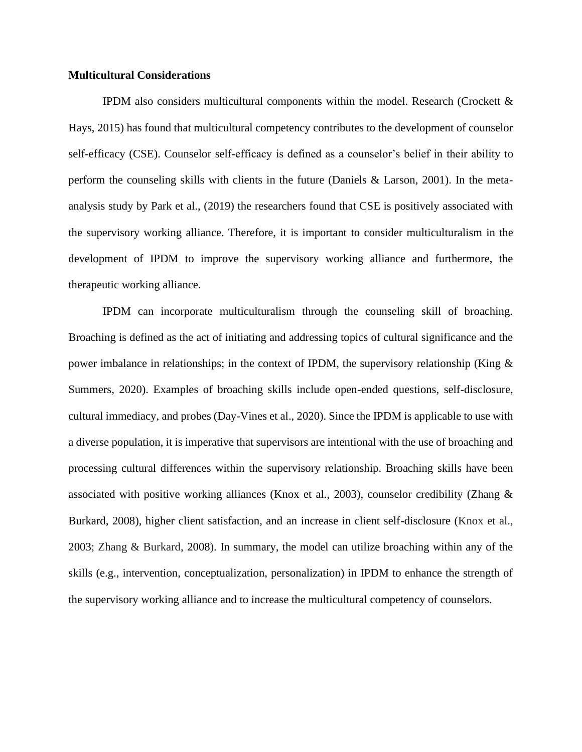#### **Multicultural Considerations**

IPDM also considers multicultural components within the model. Research (Crockett & Hays, 2015) has found that multicultural competency contributes to the development of counselor self-efficacy (CSE). Counselor self-efficacy is defined as a counselor's belief in their ability to perform the counseling skills with clients in the future (Daniels & Larson, 2001). In the metaanalysis study by Park et al., (2019) the researchers found that CSE is positively associated with the supervisory working alliance. Therefore, it is important to consider multiculturalism in the development of IPDM to improve the supervisory working alliance and furthermore, the therapeutic working alliance.

IPDM can incorporate multiculturalism through the counseling skill of broaching. Broaching is defined as the act of initiating and addressing topics of cultural significance and the power imbalance in relationships; in the context of IPDM, the supervisory relationship (King  $\&$ Summers, 2020). Examples of broaching skills include open-ended questions, self-disclosure, cultural immediacy, and probes (Day-Vines et al., 2020). Since the IPDM is applicable to use with a diverse population, it is imperative that supervisors are intentional with the use of broaching and processing cultural differences within the supervisory relationship. Broaching skills have been associated with positive working alliances (Knox et al., 2003), counselor credibility (Zhang  $\&$ Burkard, 2008), higher client satisfaction, and an increase in client self-disclosure (Knox et al., [2003;](https://onlinelibrary-wiley-com.huaryu.kl.oakland.edu/doi/full/10.1002/ceas.12185#ceas12185-bib-0027) Zhang & Burkard, [2008\)](https://onlinelibrary-wiley-com.huaryu.kl.oakland.edu/doi/full/10.1002/ceas.12185#ceas12185-bib-0042). In summary, the model can utilize broaching within any of the skills (e.g., intervention, conceptualization, personalization) in IPDM to enhance the strength of the supervisory working alliance and to increase the multicultural competency of counselors.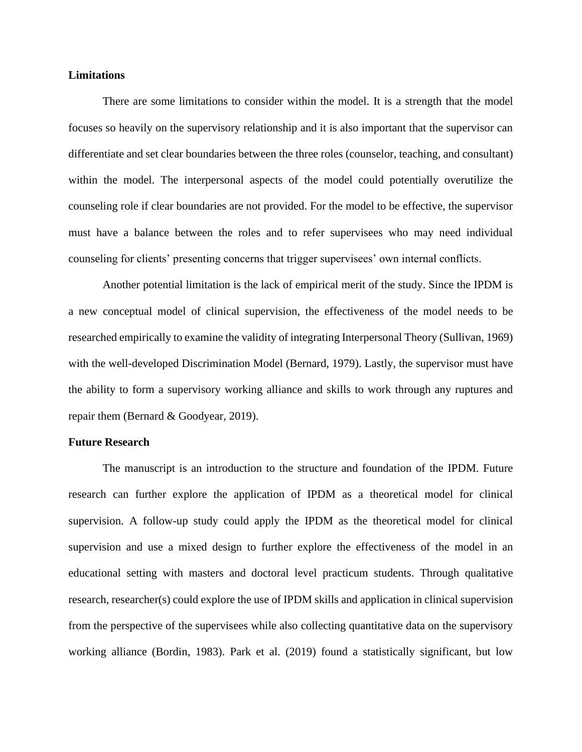#### **Limitations**

There are some limitations to consider within the model. It is a strength that the model focuses so heavily on the supervisory relationship and it is also important that the supervisor can differentiate and set clear boundaries between the three roles (counselor, teaching, and consultant) within the model. The interpersonal aspects of the model could potentially overutilize the counseling role if clear boundaries are not provided. For the model to be effective, the supervisor must have a balance between the roles and to refer supervisees who may need individual counseling for clients' presenting concerns that trigger supervisees' own internal conflicts.

Another potential limitation is the lack of empirical merit of the study. Since the IPDM is a new conceptual model of clinical supervision, the effectiveness of the model needs to be researched empirically to examine the validity of integrating Interpersonal Theory (Sullivan, 1969) with the well-developed Discrimination Model (Bernard, 1979). Lastly, the supervisor must have the ability to form a supervisory working alliance and skills to work through any ruptures and repair them (Bernard & Goodyear, 2019).

#### **Future Research**

The manuscript is an introduction to the structure and foundation of the IPDM. Future research can further explore the application of IPDM as a theoretical model for clinical supervision. A follow-up study could apply the IPDM as the theoretical model for clinical supervision and use a mixed design to further explore the effectiveness of the model in an educational setting with masters and doctoral level practicum students. Through qualitative research, researcher(s) could explore the use of IPDM skills and application in clinical supervision from the perspective of the supervisees while also collecting quantitative data on the supervisory working alliance (Bordin, 1983). Park et al. (2019) found a statistically significant, but low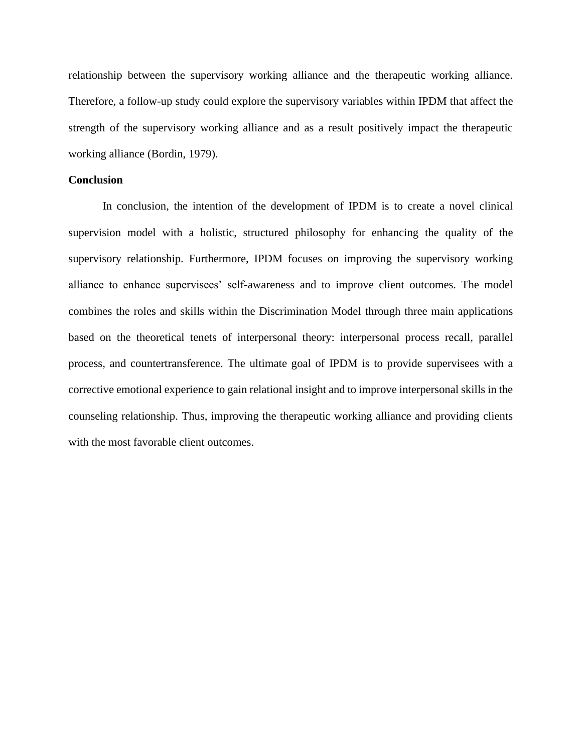relationship between the supervisory working alliance and the therapeutic working alliance. Therefore, a follow-up study could explore the supervisory variables within IPDM that affect the strength of the supervisory working alliance and as a result positively impact the therapeutic working alliance (Bordin, 1979).

# **Conclusion**

In conclusion, the intention of the development of IPDM is to create a novel clinical supervision model with a holistic, structured philosophy for enhancing the quality of the supervisory relationship. Furthermore, IPDM focuses on improving the supervisory working alliance to enhance supervisees' self-awareness and to improve client outcomes. The model combines the roles and skills within the Discrimination Model through three main applications based on the theoretical tenets of interpersonal theory: interpersonal process recall, parallel process, and countertransference. The ultimate goal of IPDM is to provide supervisees with a corrective emotional experience to gain relational insight and to improve interpersonal skills in the counseling relationship. Thus, improving the therapeutic working alliance and providing clients with the most favorable client outcomes.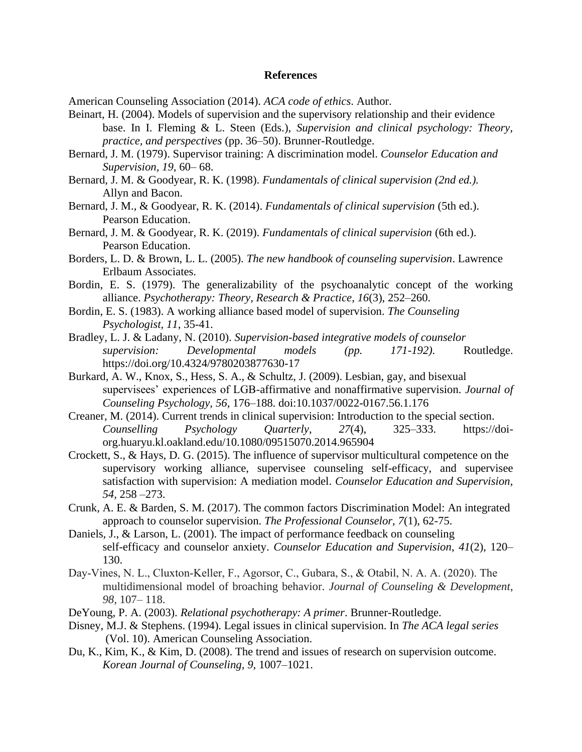#### **References**

American Counseling Association (2014). *ACA code of ethics*. Author.

Beinart, H. (2004). Models of supervision and the supervisory relationship and their evidence base. In I. Fleming & L. Steen (Eds.), *Supervision and clinical psychology: Theory, practice, and perspectives* (pp. 36–50). Brunner-Routledge.

- Bernard, J. M. (1979). Supervisor training: A discrimination model. *Counselor Education and Supervision, 19*, 60– 68.
- Bernard, J. M. & Goodyear, R. K. (1998). *Fundamentals of clinical supervision (2nd ed.).*  Allyn and Bacon.
- Bernard, J. M., & Goodyear, R. K. (2014). *Fundamentals of clinical supervision* (5th ed.). Pearson Education.
- Bernard, J. M. & Goodyear, R. K. (2019). *Fundamentals of clinical supervision* (6th ed.). Pearson Education.
- Borders, L. D. & Brown, L. L. (2005). *The new handbook of counseling supervision*. Lawrence Erlbaum Associates.
- Bordin, E. S. (1979). The generalizability of the psychoanalytic concept of the working alliance. *Psychotherapy: Theory, Research & Practice*, *16*(3), 252–260.
- Bordin, E. S. (1983). A working alliance based model of supervision. *The Counseling Psychologist, 11*, 35-41.
- Bradley, L. J. & Ladany, N. (2010). *Supervision-based integrative models of counselor supervision: Developmental models (pp. 171-192).* Routledge. https://doi.org/10.4324/9780203877630-17
- Burkard, A. W., Knox, S., Hess, S. A., & Schultz, J. (2009). Lesbian, gay, and bisexual supervisees' experiences of LGB-affirmative and nonaffirmative supervision. *Journal of Counseling Psychology, 56*, 176–188. doi:10.1037/0022-0167.56.1.176
- Creaner, M. (2014). Current trends in clinical supervision: Introduction to the special section. *Counselling Psychology Quarterly*, *27*(4), 325–333. https://doiorg.huaryu.kl.oakland.edu/10.1080/09515070.2014.965904
- Crockett, S., & Hays, D. G. (2015). The influence of supervisor multicultural competence on the supervisory working alliance, supervisee counseling self-efficacy, and supervisee satisfaction with supervision: A mediation model. *Counselor Education and Supervision, 54,* 258 –273.
- Crunk, A. E. & Barden, S. M. (2017). The common factors Discrimination Model: An integrated approach to counselor supervision. *The Professional Counselor, 7*(1), 62-75.
- Daniels, J., & Larson, L. (2001). The impact of performance feedback on counseling self-efficacy and counselor anxiety. *Counselor Education and Supervision*, *41*(2), 120– 130[.](https://doi.org/10.1002/j.1556-6978.2001.tb01276.x)
- Day‐Vines, N. L., Cluxton‐Keller, F., Agorsor, C., Gubara, S., & Otabil, N. A. A. (2020). The multidimensional model of broaching behavior. *Journal of Counseling & Development*, *98,* 107– 118.
- DeYoung, P. A. (2003). *Relational psychotherapy: A primer*. Brunner-Routledge.
- Disney, M.J. & Stephens. (1994). Legal issues in clinical supervision. In *The ACA legal series*  (Vol. 10). American Counseling Association.
- Du, K., Kim, K., & Kim, D. (2008). The trend and issues of research on supervision outcome. *Korean Journal of Counseling, 9,* 1007–1021.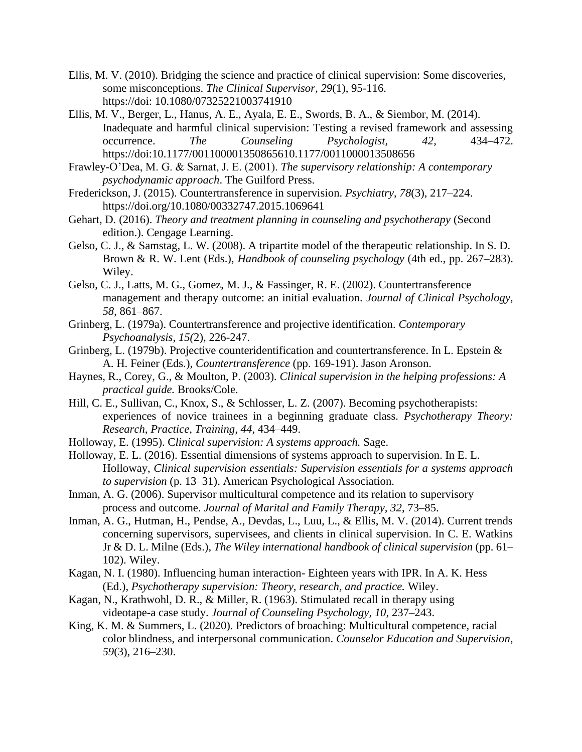- Ellis, M. V. (2010). Bridging the science and practice of clinical supervision: Some discoveries, some misconceptions. *The Clinical Supervisor, 29*(1), 95-116. https://doi: 10.1080/07325221003741910
- Ellis, M. V., Berger, L., Hanus, A. E., Ayala, E. E., Swords, B. A., & Siembor, M. (2014). Inadequate and harmful clinical supervision: Testing a revised framework and assessing occurrence. *The Counseling Psychologist, 42*, 434–472. https://doi:10.1177/001100001350865610.1177/0011000013508656
- Frawley-O'Dea, M. G. & Sarnat, J. E. (2001). *The supervisory relationship: A contemporary psychodynamic approach*. The Guilford Press.
- Frederickson, J. (2015). Countertransference in supervision. *Psychiatry*, *78*(3), 217–224. https://doi.org/10.1080/00332747.2015.1069641
- Gehart, D. (2016). *Theory and treatment planning in counseling and psychotherapy* (Second edition.). Cengage Learning.
- Gelso, C. J., & Samstag, L. W. (2008). A tripartite model of the therapeutic relationship. In S. D. Brown & R. W. Lent (Eds.), *Handbook of counseling psychology* (4th ed., pp. 267–283). Wiley.
- Gelso, C. J., Latts, M. G., Gomez, M. J., & Fassinger, R. E. (2002). Countertransference management and therapy outcome: an initial evaluation. *Journal of Clinical Psychology*, *58*, 861–867.
- Grinberg, L. (1979a). Countertransference and projective identification. *Contemporary Psychoanalysis, 15(*2), 226-247.
- Grinberg, L. (1979b). Projective counteridentification and countertransference. In L. Epstein & A. H. Feiner (Eds.), *Countertransference* (pp. 169-191). Jason Aronson.
- Haynes, R., Corey, G., & Moulton, P. (2003). *Clinical supervision in the helping professions: A practical guide.* Brooks/Cole.
- Hill, C. E., Sullivan, C., Knox, S., & Schlosser, L. Z. (2007). Becoming psychotherapists: experiences of novice trainees in a beginning graduate class. *Psychotherapy Theory: Research, Practice, Training, 44*, 434–449.
- Holloway, E. (1995). C*linical supervision: A systems approach.* Sage.
- Holloway, E. L. (2016). Essential dimensions of systems approach to supervision. In E. L. Holloway, *Clinical supervision essentials: Supervision essentials for a systems approach to supervision* (p. 13–31). American Psychological Association.
- Inman, A. G. (2006). Supervisor multicultural competence and its relation to supervisory process and outcome. *Journal of Marital and Family Therapy, 32*, 73–85.
- Inman, A. G., Hutman, H., Pendse, A., Devdas, L., Luu, L., & Ellis, M. V. (2014). Current trends concerning supervisors, supervisees, and clients in clinical supervision. In C. E. Watkins Jr & D. L. Milne (Eds.), *The Wiley international handbook of clinical supervision* (pp. 61– 102). Wiley[.](http://search.proquest.com/docview/61498819/)
- Kagan, N. I. (1980). Influencing human interaction- Eighteen years with IPR. In A. K. Hess (Ed.), *Psychotherapy supervision: Theory, research, and practice.* Wiley.
- Kagan, N., Krathwohl, D. R., & Miller, R. (1963). Stimulated recall in therapy using videotape-a case study. *Journal of Counseling Psychology, 10*, 237–243.
- King, K. M. & Summers, L. (2020). Predictors of broaching: Multicultural competence, racial color blindness, and interpersonal communication. *Counselor Education and Supervision*, *59*(3), 216–230.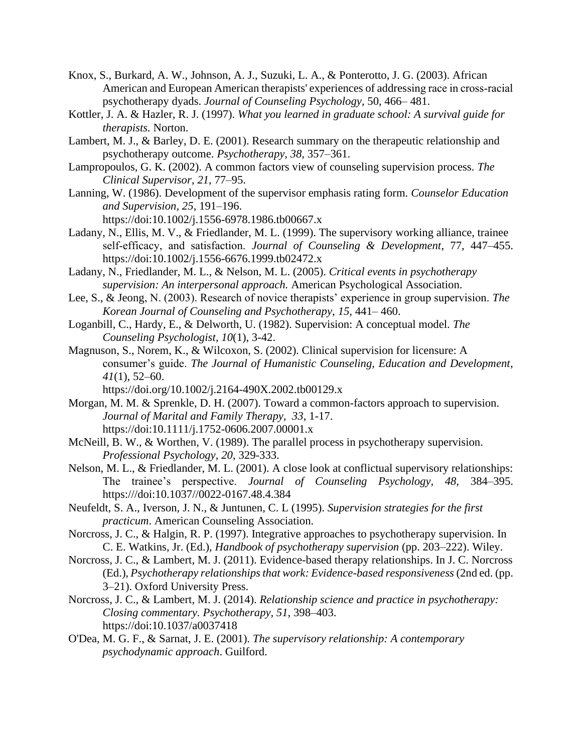- Knox, S., Burkard, A. W., Johnson, A. J., Suzuki, L. A., & Ponterotto, J. G. (2003). African American and European American therapists' experiences of addressing race in cross-racial psychotherapy dyads. *Journal of Counseling Psychology*, 50, 466– 481.
- Kottler, J. A. & Hazler, R. J. (1997). *What you learned in graduate school: A survival guide for therapists.* Norton.
- Lambert, M. J., & Barley, D. E. (2001). Research summary on the therapeutic relationship and psychotherapy outcome. *Psychotherapy, 38*, 357–361.
- Lampropoulos, G. K. (2002). A common factors view of counseling supervision process. *The Clinical Supervisor*, *21*, 77–95.
- Lanning, W. (1986). Development of the supervisor emphasis rating form. *Counselor Education and Supervision, 25*, 191–196. https://doi:10.1002/j.1556-6978.1986.tb00667.x
- Ladany, N., Ellis, M. V., & Friedlander, M. L. (1999). The supervisory working alliance, trainee self‐efficacy, and satisfaction. *Journal of Counseling & Development*, 77, 447–455. https://doi[:10.1002/j.1556-6676.1999.tb02472.x](https://doi-org.huaryu.kl.oakland.edu/10.1002/j.1556-6676.1999.tb02472.x)
- Ladany, N., Friedlander, M. L., & Nelson, M. L. (2005). *Critical events in psychotherapy supervision: An interpersonal approach.* American Psychological Association.
- Lee, S., & Jeong, N. (2003). Research of novice therapists' experience in group supervision. *The Korean Journal of Counseling and Psychotherapy*, *15*, 441– 460.
- Loganbill, C., Hardy, E., & Delworth, U. (1982). Supervision: A conceptual model. *The Counseling Psychologist*, *10*(1), 3-42.
- Magnuson, S., Norem, K., & Wilcoxon, S. (2002). Clinical supervision for licensure: A consumer's guide. *The Journal of Humanistic Counseling, Education and Development*, *41*(1), 52–60.
	- https://doi.org/10.1002/j.2164-490X.2002.tb00129.x
- Morgan, M. M. & Sprenkle, D. H. (2007). Toward a common-factors approach to supervision. *Journal of Marital and Family Therapy, 33*, 1-17. https://doi:10.1111/j.1752-0606.2007.00001.x
- McNeill, B. W., & Worthen, V. (1989). The parallel process in psychotherapy supervision. *Professional Psychology, 20*, 329-333.
- Nelson, M. L., & Friedlander, M. L. (2001). A close look at conflictual supervisory relationships: The trainee's perspective. *Journal of Counseling Psychology, 48,* 384–395. https:///doi:10.1037//0022-0167.48.4.384
- Neufeldt, S. A., Iverson, J. N., & Juntunen, C. L (1995). *Supervision strategies for the first practicum*. American Counseling Association.
- Norcross, J. C., & Halgin, R. P. (1997). Integrative approaches to psychotherapy supervision. In C. E. Watkins, Jr. (Ed.), *Handbook of psychotherapy supervision* (pp. 203–222). Wiley.
- Norcross, J. C., & Lambert, M. J. (2011). Evidence-based therapy relationships. In J. C. Norcross (Ed.), *Psychotherapy relationships that work: Evidence-based responsiveness* (2nd ed. (pp. 3–21). Oxford University Press.
- Norcross, J. C., & Lambert, M. J. (2014). *Relationship science and practice in psychotherapy: Closing commentary. Psychotherapy, 51*, 398–403. https://doi:10.1037/a0037418
- O'Dea, M. G. F., & Sarnat, J. E. (2001). *The supervisory relationship: A contemporary psychodynamic approach*. Guilford.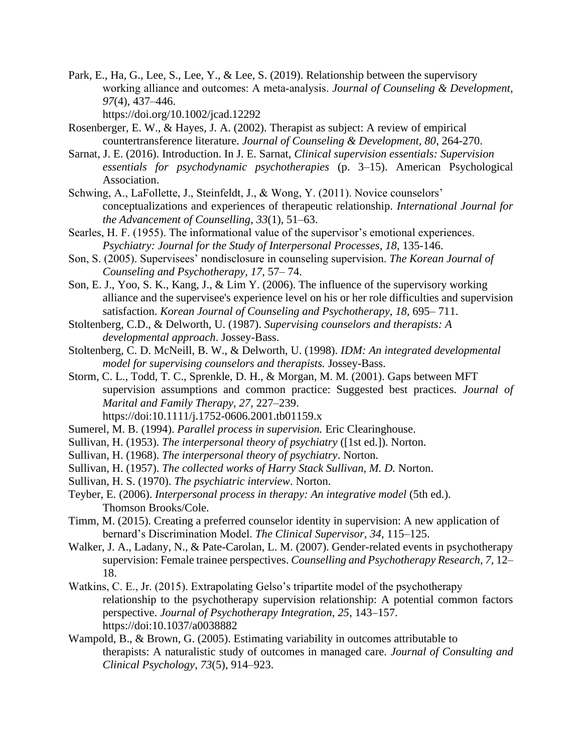Park, E., Ha, G., Lee, S., Lee, Y., & Lee, S. (2019). Relationship between the supervisory working alliance and outcomes: A meta‐analysis. *Journal of Counseling & Development*, *97*(4), 437–446.

https://doi.org/10.1002/jcad.12292

- Rosenberger, E. W., & Hayes, J. A. (2002). Therapist as subject: A review of empirical countertransference literature. *Journal of Counseling & Development, 80*, 264-270.
- Sarnat, J. E. (2016). Introduction. In J. E. Sarnat, *Clinical supervision essentials: Supervision essentials for psychodynamic psychotherapies* (p. 3–15). American Psychological Association.
- Schwing, A., LaFollette, J., Steinfeldt, J., & Wong, Y. (2011). Novice counselors' conceptualizations and experiences of therapeutic relationship. *International Journal for the Advancement of Counselling*, *33*(1), 51–63.
- Searles, H. F. (1955). The informational value of the supervisor's emotional experiences. *Psychiatry: Journal for the Study of Interpersonal Processes, 18*, 135-146.
- Son, S. (2005). Supervisees' nondisclosure in counseling supervision. *The Korean Journal of Counseling and Psychotherapy, 17,* 57– 74.
- Son, E. J., Yoo, S. K., Kang, J., & Lim Y. (2006). The influence of the supervisory working alliance and the supervisee's experience level on his or her role difficulties and supervision satisfaction. *Korean Journal of Counseling and Psychotherapy*, *18*, 695– 711.
- Stoltenberg, C.D., & Delworth, U. (1987). *Supervising counselors and therapists: A developmental approach*. Jossey-Bass.
- Stoltenberg, C. D. McNeill, B. W., & Delworth, U. (1998). *IDM: An integrated developmental model for supervising counselors and therapists.* Jossey-Bass.
- Storm, C. L., Todd, T. C., Sprenkle, D. H., & Morgan, M. M. (2001). Gaps between MFT supervision assumptions and common practice: Suggested best practices. *Journal of Marital and Family Therapy, 27*, 227–239. https://doi:10.1111/j.1752-0606.2001.tb01159.x
- Sumerel, M. B. (1994). *Parallel process in supervision.* Eric Clearinghouse.
- Sullivan, H. (1953). *The interpersonal theory of psychiatry* ([1st ed.]). Norton.
- Sullivan, H. (1968). *The interpersonal theory of psychiatry*. Norton.
- Sullivan, H. (1957). *The collected works of Harry Stack Sullivan, M. D.* Norton.
- Sullivan, H. S. (1970). *The psychiatric interview*. Norton.
- Teyber, E. (2006). *Interpersonal process in therapy: An integrative model* (5th ed.). Thomson Brooks/Cole.
- Timm, M. (2015). Creating a preferred counselor identity in supervision: A new application of bernard's Discrimination Model. *The Clinical Supervisor, 34*, 115–125.
- Walker, J. A., Ladany, N., & Pate-Carolan, L. M. (2007). Gender-related events in psychotherapy supervision: Female trainee perspectives. *Counselling and Psychotherapy Research, 7*, 12– 18.
- Watkins, C. E., Jr. (2015). Extrapolating Gelso's tripartite model of the psychotherapy relationship to the psychotherapy supervision relationship: A potential common factors perspective. *Journal of Psychotherapy Integration, 25*, 143–157. https://doi:10.1037/a0038882
- Wampold, B., & Brown, G. (2005). Estimating variability in outcomes attributable to therapists: A naturalistic study of outcomes in managed care. *Journal of Consulting and Clinical Psychology*, *73*(5), 914–923.